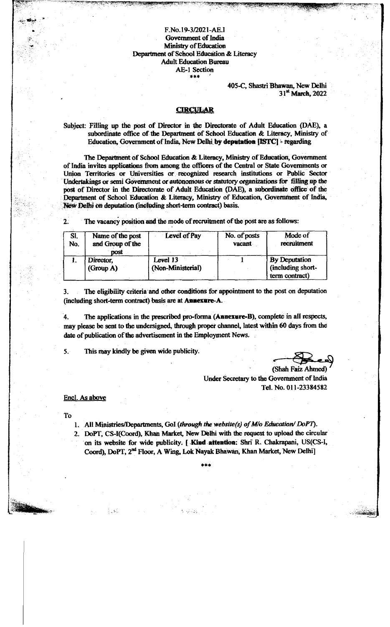F.No. 19-3/2021-AE.I Government of India **Ministry of Education** Department of School Education & Literacy Adult Education Bureau AE-1 Section \*\*\* '

> 405-C, Shastri Bhawan, New Delhi 31<sup>st</sup> March, 2022

(

# **CIRCULAR**

Subject: Filling up the post of Director in the Directorate of Adult Education (DAE), a subordinate office of the Department of School Education & Literacy, Ministry of Education, Government of India, New Delhi by deputation [ISTC] - regarding

The Department of School Education & Literacy, Ministry of Education, Government of India invites applications from among the officers of the Central or State Governments or Union Territories or Universities or recognized research institutions or Public Sector Undertakings or semi Government or autonomous or statutory organizations for tilting up die post of Director in the Directorate of Adult Education (DAE), a subordinate office of the Department of School Education & Literacy, Ministry of Education, Government of India, New Delhi on deputation (including short-term contract) basis.

2. The vacancy position and the mode of recruitment of the post are as follows:

| SI.<br>No. | Name of the post<br>and Group of the<br>DOSÍ | Level of Pay                  | No. of posts<br>vacant | Mode of<br>recruitment                               |  |  |  |
|------------|----------------------------------------------|-------------------------------|------------------------|------------------------------------------------------|--|--|--|
|            | Director,<br>(Group A)                       | Level 13<br>(Non-Ministerial) |                        | By Deputation<br>(including short-<br>term contract) |  |  |  |

3. The eligibility criteria and other conditions for appointment to the post on deputation (includmg short-term contract) basis are at Aancxare-A.

4. The applications in the prescribed pro-forma (Annexure-B), complete in all respects, may please be sent to the undersigned, through proper channel, latest within 60 days from the date of publication of the advertisement in the Employment News.

5. This may kindly be given wide publicity.

(Shah Faiz Ahmed)

Under Secretary to the Government of India Tel. No. 011-23384582

#### Encl. As above

To

1. All Ministries/Departments, Gol (through the website(s) of M/o Education/DoPT).

2. DoPT, CS-I(Coord), Khan Market, New Delhi with the request to upload the circular on its website for wide publicity. [ Kind attention: Shri R. Chakrapani, US(CS-I, Coord), DoPT, 2nd Floor, A Wing, Lok Nayak Bhawan, Khan Market, New Delhi]

\* \* \*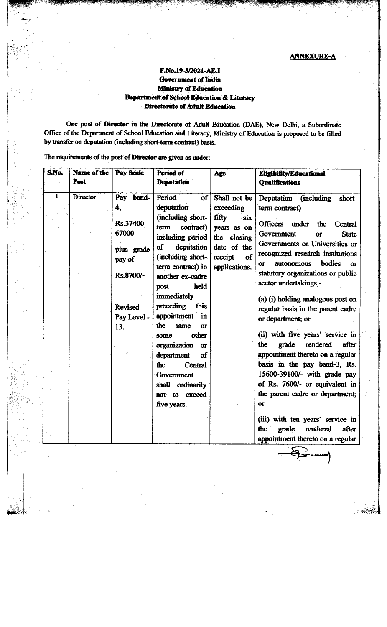# F.No.l^-3/2021-AEJ Government of India **Ministry of Education** Department of School Education & Literacy Directorate of Adult Education

One post of Director in the Directorate of Adult Education (DAE), New Delhi, a Subordinate Office of the Department of School Education and Literacy, Ministry of Education is proposed to be filled by transfer on deputation (including short-term contract) basis.

S.No. Name of the Post Pay Scale Period of **Deputation** Age Eligibility/Educational **Qualifications** 1 Director Pay band-4, Rs.37400- 67000 plus grade pay of Rs.8700/- Revised Pay Level - 13. Period of deputation (including shortterm contract) including period of deputation (including shortterm contract) in another ex-cadre post held immediately preceding this appointment in the same or some other organization or department of the Central Government shall ordinarily not to exceed five years. Shall not be exceeding fifty six years as on the closing date of the receipt of applications. Deputation (including shortterm contract) Officers under the Central Government or State Governments or Universities or recognized research institutions or autonomous bodies or statutory organizations or public sector undertakings,- (a) (i) holding analogous post on regular basis in the parent cadre or department; or (ii) with five years' service in the grade rendered after appointment thereto on a regular basis in the pay band-3, Rs. 15600-39100/- with grade pay of Rs. 7600/- or equivalent in the parent cadre or department; or (iii) with ten years' service in the grade rendered after appointment thereto on a regular

The requirements of the post of Director are given as under: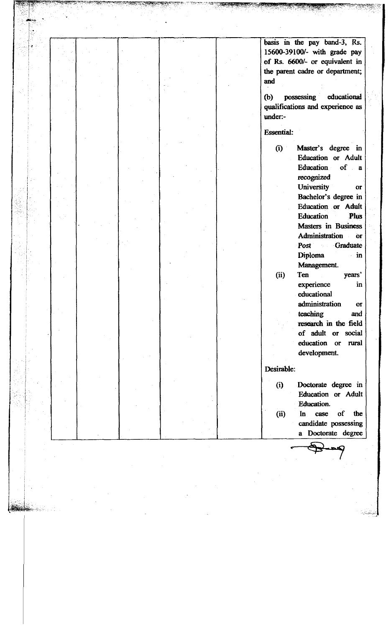|  |  |  |  |  |  |  |  |  |  |  |  |  |  |  |  |                |                   |     |          | basis in the pay band-3, Rs.<br>15600-39100/- with grade pay<br>of Rs. 6600/- or equivalent in |           |        |                  |  |
|--|--|--|--|--|--|--|--|--|--|--|--|--|--|--|--|----------------|-------------------|-----|----------|------------------------------------------------------------------------------------------------|-----------|--------|------------------|--|
|  |  |  |  |  |  |  |  |  |  |  |  |  |  |  |  | and            |                   |     |          | the parent cadre or department;<br>possessing educational                                      |           |        |                  |  |
|  |  |  |  |  |  |  |  |  |  |  |  |  |  |  |  | (b)<br>under:- |                   |     |          | qualifications and experience as                                                               |           |        |                  |  |
|  |  |  |  |  |  |  |  |  |  |  |  |  |  |  |  |                | <b>Essential:</b> |     |          |                                                                                                |           |        |                  |  |
|  |  |  |  |  |  |  |  |  |  |  |  |  |  |  |  |                | (i)               |     |          | Master's degree in<br>Education or Adult<br>Education<br>recognized                            |           | of a   |                  |  |
|  |  |  |  |  |  |  |  |  |  |  |  |  |  |  |  |                |                   |     |          | University<br>Bachelor's degree in<br>Education or Adult<br>Education                          |           |        | $\sigma$<br>Plus |  |
|  |  |  |  |  |  |  |  |  |  |  |  |  |  |  |  |                |                   |     | Diploma  | Masters in Business<br>Administration<br><b>Post</b>                                           | Graduate  |        | <b>OF</b><br>in  |  |
|  |  |  |  |  |  |  |  |  |  |  |  |  |  |  |  |                | (ii)              | Ten |          | Management.<br>experience<br>educational                                                       |           | years' | in               |  |
|  |  |  |  |  |  |  |  |  |  |  |  |  |  |  |  |                |                   |     | teaching | administration<br>research in the field<br>of adult or social<br>education or<br>development.  |           | rural  | <b>Or</b><br>and |  |
|  |  |  |  |  |  |  |  |  |  |  |  |  |  |  |  |                | Desirable:        |     |          |                                                                                                |           |        |                  |  |
|  |  |  |  |  |  |  |  |  |  |  |  |  |  |  |  |                | (i)               |     |          | Doctorate degree in<br>Education or Adult<br><b>Education.</b>                                 |           |        |                  |  |
|  |  |  |  |  |  |  |  |  |  |  |  |  |  |  |  |                | (ii)              | In  |          | case<br>candidate possessing<br>a Doctorate degree                                             | <b>of</b> |        | the              |  |
|  |  |  |  |  |  |  |  |  |  |  |  |  |  |  |  |                |                   |     |          |                                                                                                |           |        |                  |  |
|  |  |  |  |  |  |  |  |  |  |  |  |  |  |  |  |                |                   |     |          |                                                                                                |           |        |                  |  |
|  |  |  |  |  |  |  |  |  |  |  |  |  |  |  |  |                |                   |     |          |                                                                                                |           |        |                  |  |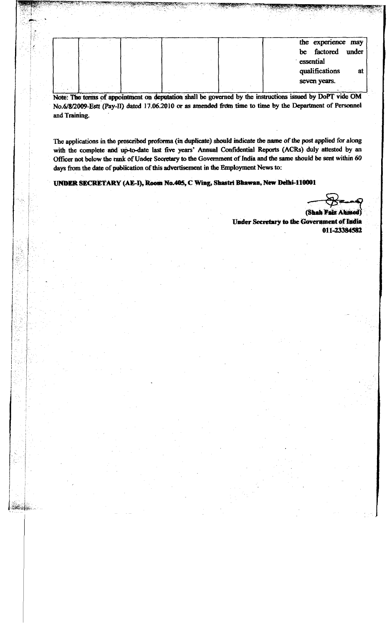|  |  |  | be<br>essential<br>qualifications | the experience may<br>factored<br>under<br><b>a</b> |
|--|--|--|-----------------------------------|-----------------------------------------------------|
|  |  |  | seven years.                      |                                                     |

Note: The terms of appointment on deputation shall be governed by the instructions issued by DoPT vide OM No.6/8/2009-Estt (Pay-II) dated 17.06.2010 or as amended from time to time by the Department of Personnel and Training.

The applications in the prescribed proforma (in duplicate) should indicate the name of the post applied for along with the complete and up-to-date last five years' Annual Confidential Reports (AGRs) duly attested by an Officer not below the rank of Under Secretary to the Government of India and the same should be sent within 60 days from the date of publication of this advertisement in the Employment News to:

UNDER SECRETARY (AE -I), Room No.405, C Wing, Shastri Bhawan, New Delhi-110001

కేషుల్లే...

**(Shah Faiz Under Secretary to the Government of India** 011-23384582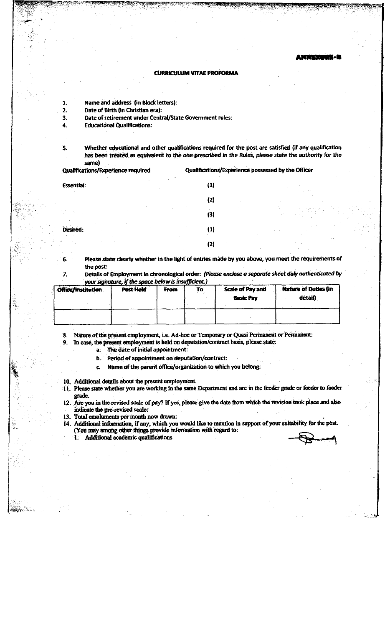### CURRICULUM VITAE PROFORMA

- 1. Name and address (in Block letters):
- 2. Date of Birth (in Christian era):
- 3. Date of retirement under Central/State Government rules:
- 4. Educational Qualifications;
- 5. Whether educational and other qualifications required for the post are satisfied (if any qualification has been treated as equivalent to the one prescribed in the Rules, please state the authority for the same)

Qualifications/Experience required Qualifications/Experience possessed by the Officer

| <b>Essential:</b> | $\sim$<br>(1) |
|-------------------|---------------|
|                   | (2)           |
| $\sim$ $\sim$     | (3)           |
| ٠                 | (1)           |
|                   | (2)           |

6. Please state clearly whether in the light of entries made by you above, you meet the requirements of the post:

7. Details of Employment in chronological order: *(Please enclose a separate sheet duty authenticated by* your signature, if the space below is insufficient.)

| Office/Institution | <b>Post Held</b> | From | To | <b>Scale of Pay and</b> | <b>Nature of Duties (in</b> |  |  |  |  |
|--------------------|------------------|------|----|-------------------------|-----------------------------|--|--|--|--|
|                    |                  |      |    | <b>Basic Pay</b>        | detail)                     |  |  |  |  |
|                    |                  |      |    |                         |                             |  |  |  |  |
|                    |                  |      |    |                         |                             |  |  |  |  |
|                    |                  |      |    |                         |                             |  |  |  |  |

8. Nature of the present employment, i.e. Ad-hoc or Temporary or Quasi Permanent or Permanent:

- 9. In case, the present employment is held on deputation/contract basis, please state:
	- a. The date of initial appointment:
	- b. Period of appointment on deputation/contract:
	- c. Name of the parent office/organization to which you belong:
- 10. Additional details about the present employment
- 11. Please state whether you are working in the same Department and are in the feeder grade or feeder to feeder grade.
- 12. Are you in the revised scale of pay? If yes, please give the date from which the revision took place and also indicate the pre-revised scale:
- 13. Total emoluments per month now drawn:
- 14. Additional information, if any, which you would like to mention in support of your suitability for the post.<br>(You may among other things provide information with regard to:<br>1. Additional academic qualifications

MA SERIA